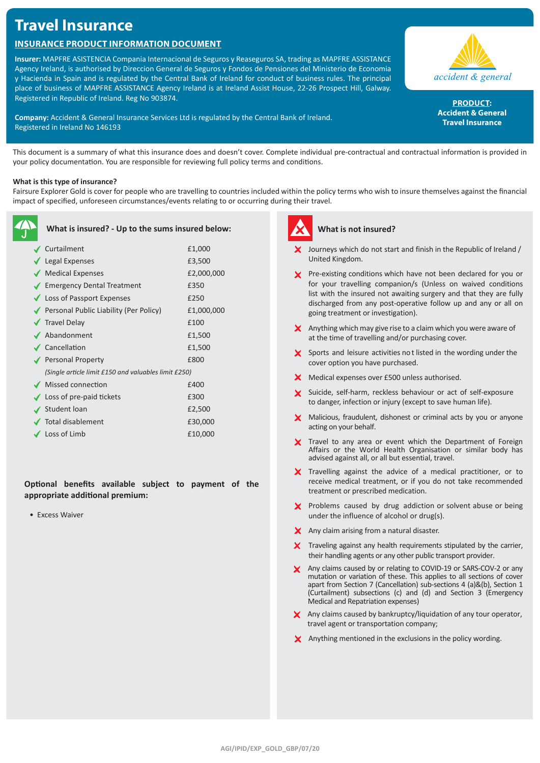# **Travel Insurance**

# **Insurance Product Information Document**

**Insurer:** MAPFRE ASISTENCIA Compania Internacional de Seguros y Reaseguros SA, trading as MAPFRE ASSISTANCE Agency Ireland, is authorised by Direccion General de Seguros y Fondos de Pensiones del Ministerio de Economia y Hacienda in Spain and is regulated by the Central Bank of Ireland for conduct of business rules. The principal place of business of MAPFRE ASSISTANCE Agency Ireland is at Ireland Assist House, 22-26 Prospect Hill, Galway. Registered in Republic of Ireland. Reg No 903874.

**Company:** Accident & General Insurance Services Ltd is regulated by the Central Bank of Ireland. Registered in Ireland No 146193



PRODUCT: **Accident & General Travel Insurance**

This document is a summary of what this insurance does and doesn't cover. Complete individual pre-contractual and contractual information is provided in your policy documentation. You are responsible for reviewing full policy terms and conditions.

# **What is this type of insurance?**

Fairsure Explorer Gold is cover for people who are travelling to countries included within the policy terms who wish to insure themselves against the financial impact of specified, unforeseen circumstances/events relating to or occurring during their travel.

| What is insured? - Up to the sums insured below:     |            |
|------------------------------------------------------|------------|
| ✔ Curtailment                                        | £1,000     |
| $\blacktriangleright$ Legal Expenses                 | £3,500     |
| Medical Expenses                                     | £2,000,000 |
| ◆ Emergency Dental Treatment                         | £350       |
| ◆ Loss of Passport Expenses                          | £250       |
| ◆ Personal Public Liability (Per Policy)             | £1,000,000 |
| $\sqrt{\phantom{a}}$ Travel Delay                    | £100       |
| ✔ Abandonment                                        | £1,500     |
| ✔ Cancellation                                       | £1,500     |
| ◆ Personal Property                                  | £800       |
| (Single article limit £150 and valuables limit £250) |            |
| ◆ Missed connection                                  | £400       |
| $\checkmark$ Loss of pre-paid tickets                | £300       |
| Student loan                                         | £2,500     |
| Total disablement                                    | £30,000    |
| $\checkmark$ Loss of Limb                            | £10,000    |

**Optional benefits available subject to payment of the appropriate additional premium:**

• Excess Waiver



# **What is not insured?**

- $\boldsymbol{\times}$  Journeys which do not start and finish in the Republic of Ireland / United Kingdom.
- **X** Pre-existing conditions which have not been declared for you or for your travelling companion/s (Unless on waived conditions list with the insured not awaiting surgery and that they are fully discharged from any post-operative follow up and any or all on going treatment or investigation).
- $\boldsymbol{\times}$  Anything which may give rise to a claim which you were aware of at the time of travelling and/or purchasing cover.
- $\boldsymbol{\times}$  Sports and leisure activities not listed in the wording under the cover option you have purchased.
- X Medical expenses over £500 unless authorised.
- X Suicide, self-harm, reckless behaviour or act of self-exposure to danger, infection or injury (except to save human life).
- X Malicious, fraudulent, dishonest or criminal acts by you or anyone acting on your behalf.
- X Travel to any area or event which the Department of Foreign Affairs or the World Health Organisation or similar body has advised against all, or all but essential, travel.
- X Travelling against the advice of a medical practitioner, or to receive medical treatment, or if you do not take recommended treatment or prescribed medication.
- X Problems caused by drug addiction or solvent abuse or being under the influence of alcohol or drug(s).
- X Any claim arising from a natural disaster.
- $\boldsymbol{\times}$  Traveling against any health requirements stipulated by the carrier, their handling agents or any other public transport provider.
- X Any claims caused by or relating to COVID-19 or SARS-COV-2 or any mutation or variation of these. This applies to all sections of cover apart from Section 7 (Cancellation) sub-sections 4 (a)&(b), Section 1 (Curtailment) subsections (c) and (d) and Section 3 (Emergency Medical and Repatriation expenses)
- X Any claims caused by bankruptcy/liquidation of any tour operator, travel agent or transportation company;
- X Anything mentioned in the exclusions in the policy wording.